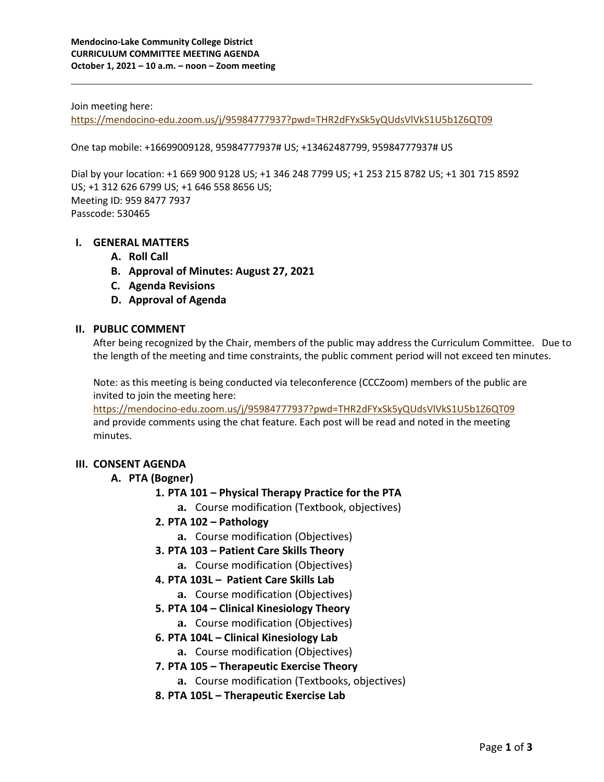#### Join meeting here:

<https://mendocino-edu.zoom.us/j/95984777937?pwd=THR2dFYxSk5yQUdsVlVkS1U5b1Z6QT09>

One tap mobile: +16699009128, 95984777937# US; +13462487799, 95984777937# US

Dial by your location: +1 669 900 9128 US; +1 346 248 7799 US; +1 253 215 8782 US; +1 301 715 8592 US; +1 312 626 6799 US; +1 646 558 8656 US; Meeting ID: 959 8477 7937 Passcode: 530465

\_\_\_\_\_\_\_\_\_\_\_\_\_\_\_\_\_\_\_\_\_\_\_\_\_\_\_\_\_\_\_\_\_\_\_\_\_\_\_\_\_\_\_\_\_\_\_\_\_\_\_\_\_\_\_\_\_\_\_\_\_\_\_\_\_\_\_\_\_\_\_\_\_\_\_\_\_\_

#### **I. GENERAL MATTERS**

- **A. Roll Call**
- **B. Approval of Minutes: August 27, 2021**
- **C. Agenda Revisions**
- **D. Approval of Agenda**

#### **II. PUBLIC COMMENT**

After being recognized by the Chair, members of the public may address the Curriculum Committee. Due to the length of the meeting and time constraints, the public comment period will not exceed ten minutes.

Note: as this meeting is being conducted via teleconference (CCCZoom) members of the public are invited to join the meeting here:

<https://mendocino-edu.zoom.us/j/95984777937?pwd=THR2dFYxSk5yQUdsVlVkS1U5b1Z6QT09> and provide comments using the chat feature. Each post will be read and noted in the meeting minutes.

#### **III. CONSENT AGENDA**

#### **A. PTA (Bogner)**

- **1. PTA 101 – Physical Therapy Practice for the PTA**
	- **a.** Course modification (Textbook, objectives)
- **2. PTA 102 – Pathology**
	- **a.** Course modification (Objectives)
- **3. PTA 103 – Patient Care Skills Theory**
	- **a.** Course modification (Objectives)
- **4. PTA 103L Patient Care Skills Lab**
	- **a.** Course modification (Objectives)
- **5. PTA 104 – Clinical Kinesiology Theory**
	- **a.** Course modification (Objectives)
- **6. PTA 104L – Clinical Kinesiology Lab**
	- **a.** Course modification (Objectives)
- **7. PTA 105 – Therapeutic Exercise Theory**
	- **a.** Course modification (Textbooks, objectives)
- **8. PTA 105L – Therapeutic Exercise Lab**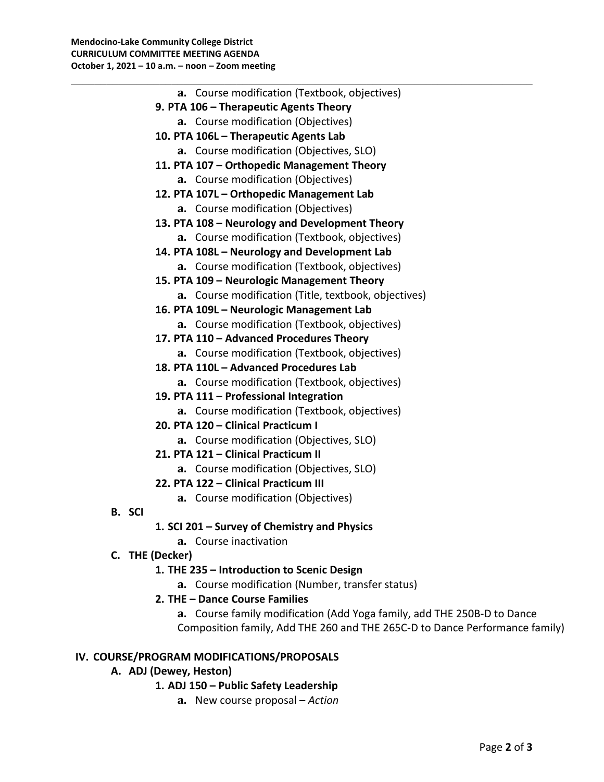| a. Course modification (Textbook, objectives)                               |
|-----------------------------------------------------------------------------|
| 9. PTA 106 - Therapeutic Agents Theory                                      |
| a. Course modification (Objectives)                                         |
| 10. PTA 106L - Therapeutic Agents Lab                                       |
| a. Course modification (Objectives, SLO)                                    |
| 11. PTA 107 - Orthopedic Management Theory                                  |
| a. Course modification (Objectives)                                         |
| 12. PTA 107L - Orthopedic Management Lab                                    |
| a. Course modification (Objectives)                                         |
| 13. PTA 108 - Neurology and Development Theory                              |
| a. Course modification (Textbook, objectives)                               |
| 14. PTA 108L - Neurology and Development Lab                                |
| a. Course modification (Textbook, objectives)                               |
| 15. PTA 109 - Neurologic Management Theory                                  |
| a. Course modification (Title, textbook, objectives)                        |
| 16. PTA 109L - Neurologic Management Lab                                    |
| a. Course modification (Textbook, objectives)                               |
| 17. PTA 110 - Advanced Procedures Theory                                    |
| a. Course modification (Textbook, objectives)                               |
| 18. PTA 110L - Advanced Procedures Lab                                      |
| a. Course modification (Textbook, objectives)                               |
| 19. PTA 111 - Professional Integration                                      |
| a. Course modification (Textbook, objectives)                               |
| 20. PTA 120 - Clinical Practicum I                                          |
| a. Course modification (Objectives, SLO)                                    |
| 21. PTA 121 - Clinical Practicum II                                         |
| a. Course modification (Objectives, SLO)                                    |
| 22. PTA 122 - Clinical Practicum III                                        |
| a. Course modification (Objectives)                                         |
| <b>B. SCI</b>                                                               |
| 1. SCI 201 - Survey of Chemistry and Physics                                |
| a. Course inactivation<br>C. THE (Decker)                                   |
| 1. THE 235 - Introduction to Scenic Design                                  |
| a. Course modification (Number, transfer status)                            |
| 2. THE - Dance Course Families                                              |
| a. Course family modification (Add Yoga family, add THE 250B-D to Dance     |
| Composition family, Add THE 260 and THE 265C-D to Dance Performance family) |
|                                                                             |

\_\_\_\_\_\_\_\_\_\_\_\_\_\_\_\_\_\_\_\_\_\_\_\_\_\_\_\_\_\_\_\_\_\_\_\_\_\_\_\_\_\_\_\_\_\_\_\_\_\_\_\_\_\_\_\_\_\_\_\_\_\_\_\_\_\_\_\_\_\_\_\_\_\_\_\_\_\_

# **IV. COURSE/PROGRAM MODIFICATIONS/PROPOSALS**

- **A. ADJ (Dewey, Heston)**
	- **1. ADJ 150 – Public Safety Leadership**
		- **a.** New course proposal *Action*